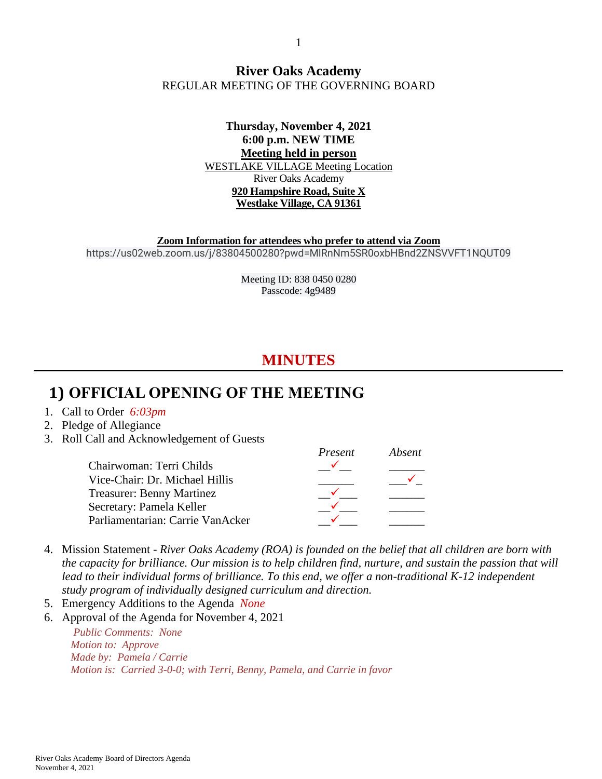#### **River Oaks Academy** REGULAR MEETING OF THE GOVERNING BOARD

#### **Thursday, November 4, 2021 6:00 p.m. NEW TIME Meeting held in person** WESTLAKE VILLAGE Meeting Location River Oaks Academy **920 Hampshire Road, Suite X Westlake Village, CA 91361**

**Zoom Information for attendees who prefer to attend via Zoom** https://us02web.zoom.us/j/83804500280?pwd=MlRnNm5SR0oxbHBnd2ZNSVVFT1NQUT09

> Meeting ID: 838 0450 0280 Passcode: 4g9489

# **MINUTES**

## **1) OFFICIAL OPENING OF THE MEETING**

- 1. Call to Order *6:03pm*
- 2. Pledge of Allegiance
- 3. Roll Call and Acknowledgement of Guests

|                                  | Present | Absent |
|----------------------------------|---------|--------|
| Chairwoman: Terri Childs         |         |        |
| Vice-Chair: Dr. Michael Hillis   |         |        |
| <b>Treasurer: Benny Martinez</b> |         |        |
| Secretary: Pamela Keller         |         |        |
| Parliamentarian: Carrie VanAcker |         |        |

- 4. Mission Statement *River Oaks Academy (ROA) is founded on the belief that all children are born with the capacity for brilliance. Our mission is to help children find, nurture, and sustain the passion that will lead to their individual forms of brilliance. To this end, we offer a non-traditional K-12 independent study program of individually designed curriculum and direction.*
- 5. Emergency Additions to the Agenda *None*
- 6. Approval of the Agenda for November 4, 2021

*Public Comments: None Motion to: Approve Made by: Pamela / Carrie Motion is: Carried 3-0-0; with Terri, Benny, Pamela, and Carrie in favor*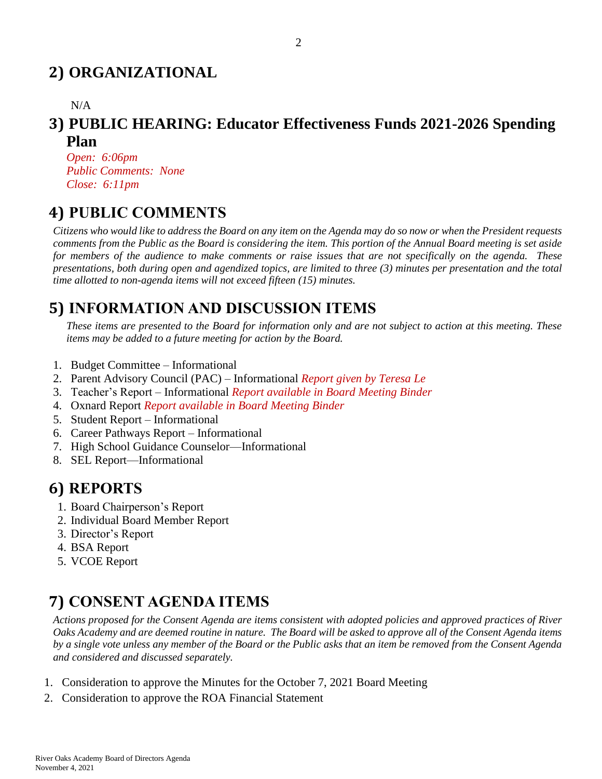# **2) ORGANIZATIONAL**

N/A

### **3) PUBLIC HEARING: Educator Effectiveness Funds 2021-2026 Spending Plan**

*Open: 6:06pm Public Comments: None Close: 6:11pm*

## **4) PUBLIC COMMENTS**

*Citizens who would like to address the Board on any item on the Agenda may do so now or when the President requests comments from the Public as the Board is considering the item. This portion of the Annual Board meeting is set aside for members of the audience to make comments or raise issues that are not specifically on the agenda. These presentations, both during open and agendized topics, are limited to three (3) minutes per presentation and the total time allotted to non-agenda items will not exceed fifteen (15) minutes.*

# **5) INFORMATION AND DISCUSSION ITEMS**

*These items are presented to the Board for information only and are not subject to action at this meeting. These items may be added to a future meeting for action by the Board.*

- 1. Budget Committee Informational
- 2. Parent Advisory Council (PAC) Informational *Report given by Teresa Le*
- 3. Teacher's Report Informational *Report available in Board Meeting Binder*
- 4. Oxnard Report *Report available in Board Meeting Binder*
- 5. Student Report Informational
- 6. Career Pathways Report Informational
- 7. High School Guidance Counselor—Informational
- 8. SEL Report—Informational

## **6) REPORTS**

- 1. Board Chairperson's Report
- 2. Individual Board Member Report
- 3. Director's Report
- 4. BSA Report
- 5. VCOE Report

# **7) CONSENT AGENDA ITEMS**

*Actions proposed for the Consent Agenda are items consistent with adopted policies and approved practices of River Oaks Academy and are deemed routine in nature. The Board will be asked to approve all of the Consent Agenda items by a single vote unless any member of the Board or the Public asks that an item be removed from the Consent Agenda and considered and discussed separately.*

- 1. Consideration to approve the Minutes for the October 7, 2021 Board Meeting
- 2. Consideration to approve the ROA Financial Statement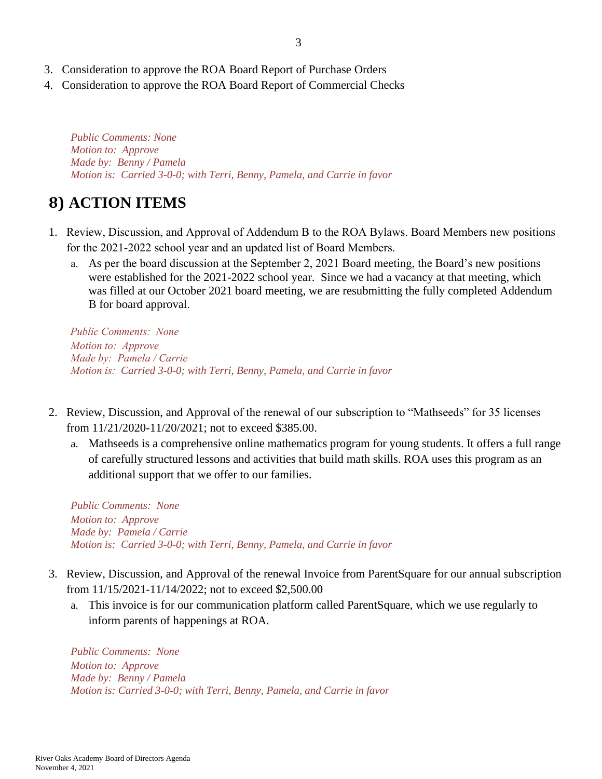- 3. Consideration to approve the ROA Board Report of Purchase Orders
- 4. Consideration to approve the ROA Board Report of Commercial Checks

*Public Comments: None Motion to: Approve Made by: Benny / Pamela Motion is: Carried 3-0-0; with Terri, Benny, Pamela, and Carrie in favor*

# **8) ACTION ITEMS**

- 1. Review, Discussion, and Approval of Addendum B to the ROA Bylaws. Board Members new positions for the 2021-2022 school year and an updated list of Board Members.
	- a. As per the board discussion at the September 2, 2021 Board meeting, the Board's new positions were established for the 2021-2022 school year. Since we had a vacancy at that meeting, which was filled at our October 2021 board meeting, we are resubmitting the fully completed Addendum B for board approval.

*Public Comments: None Motion to: Approve Made by: Pamela / Carrie Motion is: Carried 3-0-0; with Terri, Benny, Pamela, and Carrie in favor*

- 2. Review, Discussion, and Approval of the renewal of our subscription to "Mathseeds" for 35 licenses from 11/21/2020-11/20/2021; not to exceed \$385.00.
	- a. Mathseeds is a comprehensive online mathematics program for young students. It offers a full range of carefully structured lessons and activities that build math skills. ROA uses this program as an additional support that we offer to our families.

*Public Comments: None Motion to: Approve Made by: Pamela / Carrie Motion is: Carried 3-0-0; with Terri, Benny, Pamela, and Carrie in favor*

- 3. Review, Discussion, and Approval of the renewal Invoice from ParentSquare for our annual subscription from 11/15/2021-11/14/2022; not to exceed \$2,500.00
	- a. This invoice is for our communication platform called ParentSquare, which we use regularly to inform parents of happenings at ROA.

*Public Comments: None Motion to: Approve Made by: Benny / Pamela Motion is: Carried 3-0-0; with Terri, Benny, Pamela, and Carrie in favor*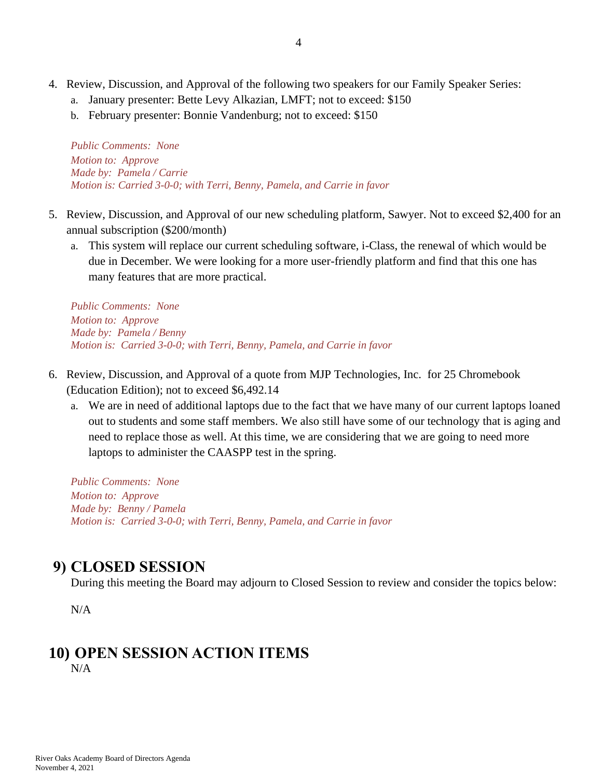- a. January presenter: Bette Levy Alkazian, LMFT; not to exceed: \$150
- b. February presenter: Bonnie Vandenburg; not to exceed: \$150

*Public Comments: None Motion to: Approve Made by: Pamela / Carrie Motion is: Carried 3-0-0; with Terri, Benny, Pamela, and Carrie in favor*

- 5. Review, Discussion, and Approval of our new scheduling platform, Sawyer. Not to exceed \$2,400 for an annual subscription (\$200/month)
	- a. This system will replace our current scheduling software, i-Class, the renewal of which would be due in December. We were looking for a more user-friendly platform and find that this one has many features that are more practical.

*Public Comments: None Motion to: Approve Made by: Pamela / Benny Motion is: Carried 3-0-0; with Terri, Benny, Pamela, and Carrie in favor*

- 6. Review, Discussion, and Approval of a quote from MJP Technologies, Inc. for 25 Chromebook (Education Edition); not to exceed \$6,492.14
	- a. We are in need of additional laptops due to the fact that we have many of our current laptops loaned out to students and some staff members. We also still have some of our technology that is aging and need to replace those as well. At this time, we are considering that we are going to need more laptops to administer the CAASPP test in the spring.

*Public Comments: None Motion to: Approve Made by: Benny / Pamela Motion is: Carried 3-0-0; with Terri, Benny, Pamela, and Carrie in favor*

### **9) CLOSED SESSION**

During this meeting the Board may adjourn to Closed Session to review and consider the topics below:

N/A

#### **10) OPEN SESSION ACTION ITEMS** N/A